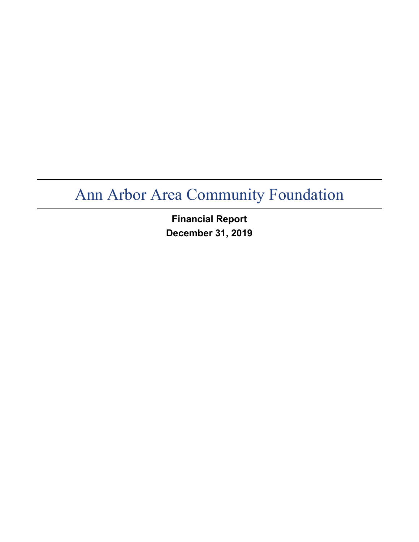**Financial Report December 31, 2019**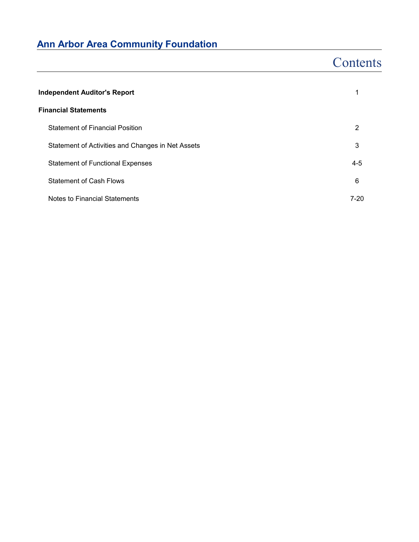## **Contents**

| <b>Independent Auditor's Report</b>               |         |
|---------------------------------------------------|---------|
| <b>Financial Statements</b>                       |         |
| <b>Statement of Financial Position</b>            | 2       |
| Statement of Activities and Changes in Net Assets | 3       |
| <b>Statement of Functional Expenses</b>           | $4 - 5$ |
| <b>Statement of Cash Flows</b>                    | 6       |
| <b>Notes to Financial Statements</b>              | $7-20$  |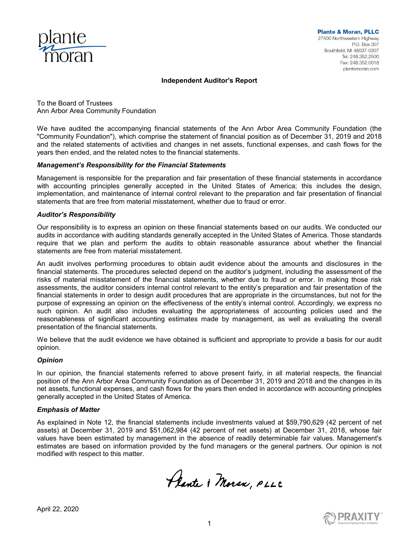

#### **Independent Auditor's Report**

To the Board of Trustees Ann Arbor Area Community Foundation

We have audited the accompanying financial statements of the Ann Arbor Area Community Foundation (the "Community Foundation"), which comprise the statement of financial position as of December 31, 2019 and 2018 and the related statements of activities and changes in net assets, functional expenses, and cash flows for the years then ended, and the related notes to the financial statements.

#### *Management's Responsibility for the Financial Statements*

Management is responsible for the preparation and fair presentation of these financial statements in accordance with accounting principles generally accepted in the United States of America; this includes the design, implementation, and maintenance of internal control relevant to the preparation and fair presentation of financial statements that are free from material misstatement, whether due to fraud or error.

#### *Auditor's Responsibility*

Our responsibility is to express an opinion on these financial statements based on our audits. We conducted our audits in accordance with auditing standards generally accepted in the United States of America. Those standards require that we plan and perform the audits to obtain reasonable assurance about whether the financial statements are free from material misstatement.

An audit involves performing procedures to obtain audit evidence about the amounts and disclosures in the financial statements. The procedures selected depend on the auditor's judgment, including the assessment of the risks of material misstatement of the financial statements, whether due to fraud or error. In making those risk assessments, the auditor considers internal control relevant to the entity's preparation and fair presentation of the financial statements in order to design audit procedures that are appropriate in the circumstances, but not for the purpose of expressing an opinion on the effectiveness of the entity's internal control. Accordingly, we express no such opinion. An audit also includes evaluating the appropriateness of accounting policies used and the reasonableness of significant accounting estimates made by management, as well as evaluating the overall presentation of the financial statements.

We believe that the audit evidence we have obtained is sufficient and appropriate to provide a basis for our audit opinion.

#### *Opinion*

In our opinion, the financial statements referred to above present fairly, in all material respects, the financial position of the Ann Arbor Area Community Foundation as of December 31, 2019 and 2018 and the changes in its net assets, functional expenses, and cash flows for the years then ended in accordance with accounting principles generally accepted in the United States of America.

#### *Emphasis of Matter*

As explained in Note 12, the financial statements include investments valued at \$59,790,629 (42 percent of net assets) at December 31, 2019 and \$51,062,984 (42 percent of net assets) at December 31, 2018, whose fair values have been estimated by management in the absence of readily determinable fair values. Management's estimates are based on information provided by the fund managers or the general partners. Our opinion is not modified with respect to this matter.

Plante & Moran, PLLC

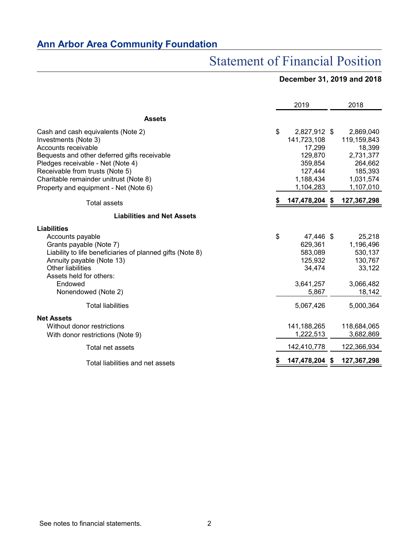## Statement of Financial Position

### **December 31, 2019 and 2018**

|                                                                                                                                                                                                                                                                                              | 2019                                                                                                   |   | 2018                                                                                            |
|----------------------------------------------------------------------------------------------------------------------------------------------------------------------------------------------------------------------------------------------------------------------------------------------|--------------------------------------------------------------------------------------------------------|---|-------------------------------------------------------------------------------------------------|
| <b>Assets</b>                                                                                                                                                                                                                                                                                |                                                                                                        |   |                                                                                                 |
| Cash and cash equivalents (Note 2)<br>Investments (Note 3)<br>Accounts receivable<br>Bequests and other deferred gifts receivable<br>Pledges receivable - Net (Note 4)<br>Receivable from trusts (Note 5)<br>Charitable remainder unitrust (Note 8)<br>Property and equipment - Net (Note 6) | \$<br>2,827,912 \$<br>141,723,108<br>17,299<br>129,870<br>359,854<br>127,444<br>1,188,434<br>1,104,283 |   | 2,869,040<br>119,159,843<br>18,399<br>2,731,377<br>264,662<br>185,393<br>1,031,574<br>1,107,010 |
| <b>Total assets</b>                                                                                                                                                                                                                                                                          | 147,478,204 \$                                                                                         |   | 127,367,298                                                                                     |
| <b>Liabilities and Net Assets</b>                                                                                                                                                                                                                                                            |                                                                                                        |   |                                                                                                 |
| <b>Liabilities</b><br>Accounts payable<br>Grants payable (Note 7)<br>Liability to life beneficiaries of planned gifts (Note 8)<br>Annuity payable (Note 13)<br><b>Other liabilities</b><br>Assets held for others:<br>Endowed<br>Nonendowed (Note 2)<br><b>Total liabilities</b>             | \$<br>47,446 \$<br>629,361<br>583,089<br>125,932<br>34,474<br>3,641,257<br>5,867<br>5,067,426          |   | 25,218<br>1,196,496<br>530,137<br>130,767<br>33,122<br>3,066,482<br>18,142<br>5,000,364         |
| <b>Net Assets</b><br>Without donor restrictions<br>With donor restrictions (Note 9)                                                                                                                                                                                                          | 141,188,265<br>1,222,513<br>142,410,778                                                                |   | 118,684,065<br>3,682,869<br>122,366,934                                                         |
| Total net assets<br>Total liabilities and net assets                                                                                                                                                                                                                                         | 147,478,204                                                                                            | S | 127,367,298                                                                                     |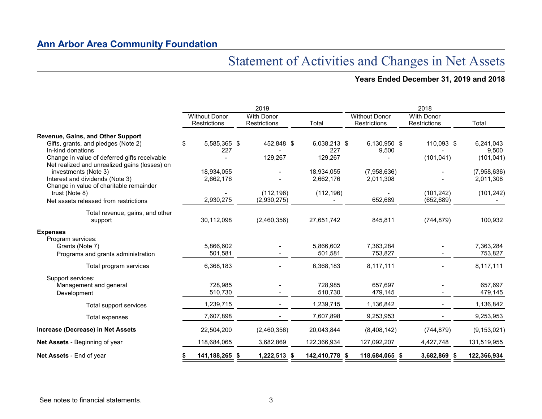## Statement of Activities and Changes in Net Assets

### **Years Ended December 31, 2019 and 2018**

|                                                                       |                                      | 2019                                     |                |                                             | 2018                                     |               |
|-----------------------------------------------------------------------|--------------------------------------|------------------------------------------|----------------|---------------------------------------------|------------------------------------------|---------------|
|                                                                       | <b>Without Donor</b><br>Restrictions | <b>With Donor</b><br><b>Restrictions</b> | Total          | <b>Without Donor</b><br><b>Restrictions</b> | <b>With Donor</b><br><b>Restrictions</b> | Total         |
| Revenue, Gains, and Other Support                                     |                                      |                                          |                |                                             |                                          |               |
| Gifts, grants, and pledges (Note 2)                                   | \$<br>5,585,365 \$                   | 452,848 \$                               | 6,038,213 \$   | 6,130,950 \$                                | 110,093 \$                               | 6,241,043     |
| In-kind donations                                                     | 227                                  |                                          | 227            | 9,500                                       |                                          | 9,500         |
| Change in value of deferred gifts receivable                          |                                      | 129,267                                  | 129,267        |                                             | (101, 041)                               | (101, 041)    |
| Net realized and unrealized gains (losses) on<br>investments (Note 3) | 18,934,055                           |                                          | 18,934,055     | (7,958,636)                                 |                                          | (7,958,636)   |
| Interest and dividends (Note 3)                                       | 2,662,176                            |                                          | 2,662,176      | 2,011,308                                   |                                          | 2,011,308     |
| Change in value of charitable remainder                               |                                      |                                          |                |                                             |                                          |               |
| trust (Note 8)                                                        |                                      | (112, 196)                               | (112, 196)     |                                             | (101, 242)                               | (101, 242)    |
| Net assets released from restrictions                                 | 2,930,275                            | (2,930,275)                              |                | 652,689                                     | (652, 689)                               |               |
| Total revenue, gains, and other                                       |                                      |                                          |                |                                             |                                          |               |
| support                                                               | 30,112,098                           | (2,460,356)                              | 27,651,742     | 845,811                                     | (744, 879)                               | 100,932       |
| <b>Expenses</b><br>Program services:<br>Grants (Note 7)               | 5,866,602                            |                                          | 5,866,602      | 7,363,284                                   |                                          | 7,363,284     |
| Programs and grants administration                                    | 501,581                              |                                          | 501,581        | 753,827                                     |                                          | 753,827       |
|                                                                       |                                      |                                          |                |                                             |                                          |               |
| Total program services                                                | 6,368,183                            |                                          | 6,368,183      | 8,117,111                                   |                                          | 8,117,111     |
| Support services:                                                     |                                      |                                          |                |                                             |                                          |               |
| Management and general                                                | 728,985                              |                                          | 728,985        | 657,697                                     |                                          | 657,697       |
| Development                                                           | 510,730                              |                                          | 510,730        | 479,145                                     |                                          | 479,145       |
| Total support services                                                | 1,239,715                            |                                          | 1,239,715      | 1,136,842                                   |                                          | 1,136,842     |
| Total expenses                                                        | 7,607,898                            |                                          | 7,607,898      | 9,253,953                                   |                                          | 9,253,953     |
| Increase (Decrease) in Net Assets                                     | 22,504,200                           | (2,460,356)                              | 20,043,844     | (8,408,142)                                 | (744, 879)                               | (9, 153, 021) |
| Net Assets - Beginning of year                                        | 118,684,065                          | 3,682,869                                | 122,366,934    | 127,092,207                                 | 4,427,748                                | 131,519,955   |
| Net Assets - End of year                                              | 141,188,265 \$                       | 1,222,513 \$                             | 142,410,778 \$ | 118,684,065 \$                              | 3,682,869 \$                             | 122,366,934   |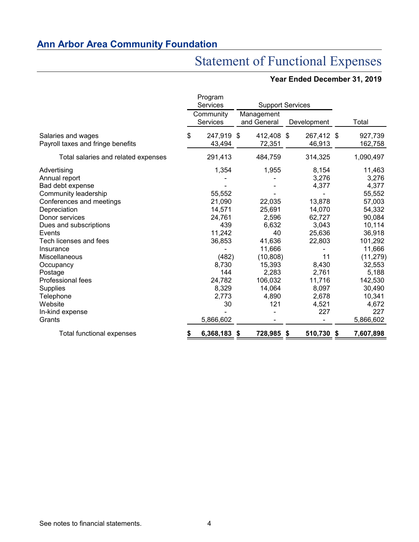## Statement of Functional Expenses

### **Year Ended December 31, 2019**

|                                     | Program                      |                           |                  |      |           |
|-------------------------------------|------------------------------|---------------------------|------------------|------|-----------|
|                                     | Services                     | <b>Support Services</b>   |                  |      |           |
|                                     | Community<br><b>Services</b> | Management<br>and General | Development      |      | Total     |
| Salaries and wages                  | \$<br>247,919 \$             | 412,408                   | \$<br>267,412 \$ |      | 927,739   |
| Payroll taxes and fringe benefits   | 43,494                       | 72,351                    | 46,913           |      | 162,758   |
| Total salaries and related expenses | 291,413                      | 484,759                   | 314,325          |      | 1,090,497 |
| Advertising                         | 1,354                        | 1,955                     | 8,154            |      | 11,463    |
| Annual report                       |                              |                           | 3,276            |      | 3,276     |
| Bad debt expense                    |                              |                           | 4,377            |      | 4,377     |
| Community leadership                | 55,552                       |                           |                  |      | 55,552    |
| Conferences and meetings            | 21,090                       | 22,035                    | 13,878           |      | 57,003    |
| Depreciation                        | 14,571                       | 25,691                    | 14,070           |      | 54,332    |
| Donor services                      | 24,761                       | 2,596                     | 62,727           |      | 90,084    |
| Dues and subscriptions              | 439                          | 6,632                     | 3,043            |      | 10,114    |
| Events                              | 11,242                       | 40                        | 25,636           |      | 36,918    |
| Tech licenses and fees              | 36,853                       | 41,636                    | 22,803           |      | 101,292   |
| Insurance                           |                              | 11,666                    |                  |      | 11,666    |
| Miscellaneous                       | (482)                        | (10, 808)                 | 11               |      | (11, 279) |
| Occupancy                           | 8,730                        | 15,393                    | 8,430            |      | 32,553    |
| Postage                             | 144                          | 2,283                     | 2,761            |      | 5,188     |
| <b>Professional fees</b>            | 24,782                       | 106,032                   | 11,716           |      | 142,530   |
| <b>Supplies</b>                     | 8,329                        | 14,064                    | 8,097            |      | 30,490    |
| Telephone                           | 2,773                        | 4,890                     | 2,678            |      | 10,341    |
| Website                             | 30                           | 121                       | 4,521            |      | 4,672     |
| In-kind expense                     |                              |                           | 227              |      | 227       |
| Grants                              | 5,866,602                    |                           |                  |      | 5,866,602 |
| Total functional expenses           | \$<br>6,368,183 \$           | 728,985                   | \$<br>510,730    | - \$ | 7,607,898 |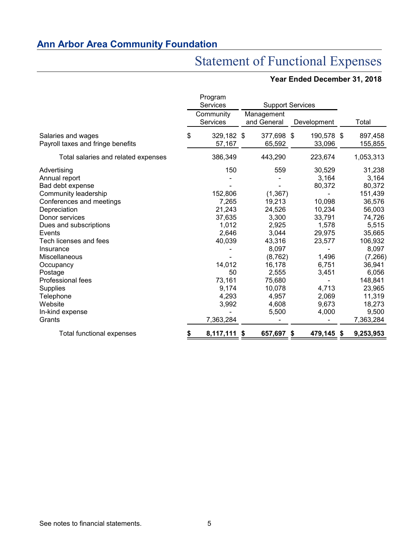## Statement of Functional Expenses

### **Year Ended December 31, 2018**

|                                     | Program<br>Services |      | <b>Support Services</b> |               |                 |
|-------------------------------------|---------------------|------|-------------------------|---------------|-----------------|
|                                     | Community           |      | Management              |               |                 |
|                                     | Services            |      | and General             | Development   | Total           |
| Salaries and wages                  | \$<br>329,182 \$    |      | 377,698 \$              | 190,578 \$    | 897,458         |
| Payroll taxes and fringe benefits   | 57,167              |      | 65,592                  | 33,096        | 155,855         |
| Total salaries and related expenses | 386,349             |      | 443,290                 | 223,674       | 1,053,313       |
| Advertising                         | 150                 |      | 559                     | 30,529        | 31,238          |
| Annual report                       |                     |      |                         | 3,164         | 3,164           |
| Bad debt expense                    |                     |      |                         | 80,372        | 80,372          |
| Community leadership                | 152,806             |      | (1, 367)                |               | 151,439         |
| Conferences and meetings            | 7,265               |      | 19,213                  | 10,098        | 36,576          |
| Depreciation                        | 21,243              |      | 24,526                  | 10,234        | 56,003          |
| Donor services                      | 37,635              |      | 3,300                   | 33,791        | 74,726          |
| Dues and subscriptions              | 1,012               |      | 2,925                   | 1,578         | 5,515           |
| Events                              | 2,646               |      | 3,044                   | 29,975        | 35,665          |
| Tech licenses and fees              | 40,039              |      | 43,316                  | 23,577        | 106,932         |
| Insurance                           |                     |      | 8,097                   |               | 8,097           |
| Miscellaneous                       |                     |      | (8, 762)                | 1,496         | (7, 266)        |
| Occupancy                           | 14,012              |      | 16,178                  | 6,751         | 36,941          |
| Postage                             | 50                  |      | 2,555                   | 3,451         | 6,056           |
| Professional fees                   | 73,161              |      | 75,680                  |               | 148,841         |
| <b>Supplies</b>                     | 9,174               |      | 10,078                  | 4,713         | 23,965          |
| Telephone                           | 4,293               |      | 4,957                   | 2,069         | 11,319          |
| Website                             | 3,992               |      | 4,608                   | 9,673         | 18,273          |
| In-kind expense                     |                     |      | 5,500                   | 4,000         | 9,500           |
| Grants                              | 7,363,284           |      |                         |               | 7,363,284       |
| Total functional expenses           | 8,117,111           | - \$ | 657,697                 | \$<br>479,145 | \$<br>9,253,953 |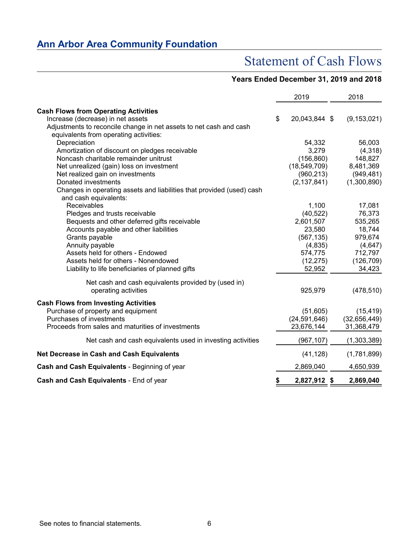## Statement of Cash Flows

### **Years Ended December 31, 2019 and 2018**

|                                                                       | 2019                | 2018          |
|-----------------------------------------------------------------------|---------------------|---------------|
| <b>Cash Flows from Operating Activities</b>                           |                     |               |
| Increase (decrease) in net assets                                     | \$<br>20,043,844 \$ | (9, 153, 021) |
| Adjustments to reconcile change in net assets to net cash and cash    |                     |               |
| equivalents from operating activities:                                |                     |               |
| Depreciation                                                          | 54,332              | 56,003        |
| Amortization of discount on pledges receivable                        | 3,279               | (4,318)       |
| Noncash charitable remainder unitrust                                 | (156, 860)          | 148,827       |
| Net unrealized (gain) loss on investment                              | (18, 549, 709)      | 8,481,369     |
| Net realized gain on investments                                      | (960, 213)          | (949, 481)    |
| Donated investments                                                   | (2, 137, 841)       | (1,300,890)   |
| Changes in operating assets and liabilities that provided (used) cash |                     |               |
| and cash equivalents:                                                 |                     |               |
| Receivables                                                           | 1,100               | 17,081        |
| Pledges and trusts receivable                                         | (40, 522)           | 76,373        |
| Bequests and other deferred gifts receivable                          | 2,601,507           | 535,265       |
| Accounts payable and other liabilities                                | 23,580              | 18,744        |
| Grants payable                                                        | (567, 135)          | 979,674       |
| Annuity payable                                                       | (4,835)             | (4,647)       |
| Assets held for others - Endowed                                      | 574,775             | 712,797       |
| Assets held for others - Nonendowed                                   | (12, 275)           | (126, 709)    |
| Liability to life beneficiaries of planned gifts                      | 52,952              | 34,423        |
| Net cash and cash equivalents provided by (used in)                   |                     |               |
| operating activities                                                  | 925,979             | (478, 510)    |
| <b>Cash Flows from Investing Activities</b>                           |                     |               |
| Purchase of property and equipment                                    | (51,605)            | (15, 419)     |
| Purchases of investments                                              | (24, 591, 646)      | (32,656,449)  |
| Proceeds from sales and maturities of investments                     | 23,676,144          | 31,368,479    |
| Net cash and cash equivalents used in investing activities            | (967, 107)          | (1,303,389)   |
| Net Decrease in Cash and Cash Equivalents                             | (41, 128)           | (1,781,899)   |
| Cash and Cash Equivalents - Beginning of year                         | 2,869,040           | 4,650,939     |
| Cash and Cash Equivalents - End of year                               | \$<br>2,827,912 \$  | 2,869,040     |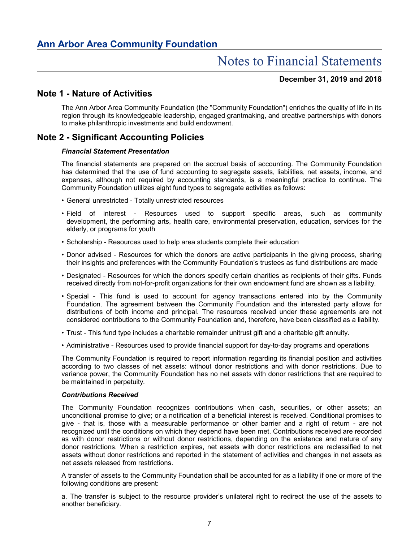#### **December 31, 2019 and 2018**

### **Note 1 - Nature of Activities**

The Ann Arbor Area Community Foundation (the "Community Foundation") enriches the quality of life in its region through its knowledgeable leadership, engaged grantmaking, and creative partnerships with donors to make philanthropic investments and build endowment.

### **Note 2 - Significant Accounting Policies**

#### *Financial Statement Presentation*

The financial statements are prepared on the accrual basis of accounting. The Community Foundation has determined that the use of fund accounting to segregate assets, liabilities, net assets, income, and expenses, although not required by accounting standards, is a meaningful practice to continue. The Community Foundation utilizes eight fund types to segregate activities as follows:

- General unrestricted Totally unrestricted resources
- Field of interest Resources used to support specific areas, such as community development, the performing arts, health care, environmental preservation, education, services for the elderly, or programs for youth
- Scholarship Resources used to help area students complete their education
- Donor advised Resources for which the donors are active participants in the giving process, sharing their insights and preferences with the Community Foundation's trustees as fund distributions are made
- Designated Resources for which the donors specify certain charities as recipients of their gifts. Funds received directly from not-for-profit organizations for their own endowment fund are shown as a liability.
- Special This fund is used to account for agency transactions entered into by the Community Foundation. The agreement between the Community Foundation and the interested party allows for distributions of both income and principal. The resources received under these agreements are not considered contributions to the Community Foundation and, therefore, have been classified as a liability.
- Trust This fund type includes a charitable remainder unitrust gift and a charitable gift annuity.
- Administrative Resources used to provide financial support for day-to-day programs and operations

The Community Foundation is required to report information regarding its financial position and activities according to two classes of net assets: without donor restrictions and with donor restrictions. Due to variance power, the Community Foundation has no net assets with donor restrictions that are required to be maintained in perpetuity.

#### *Contributions Received*

The Community Foundation recognizes contributions when cash, securities, or other assets; an unconditional promise to give; or a notification of a beneficial interest is received. Conditional promises to give - that is, those with a measurable performance or other barrier and a right of return - are not recognized until the conditions on which they depend have been met. Contributions received are recorded as with donor restrictions or without donor restrictions, depending on the existence and nature of any donor restrictions. When a restriction expires, net assets with donor restrictions are reclassified to net assets without donor restrictions and reported in the statement of activities and changes in net assets as net assets released from restrictions.

A transfer of assets to the Community Foundation shall be accounted for as a liability if one or more of the following conditions are present:

a. The transfer is subject to the resource provider's unilateral right to redirect the use of the assets to another beneficiary.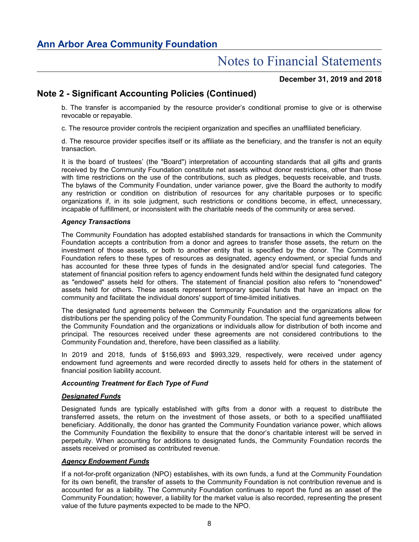#### **December 31, 2019 and 2018**

### **Note 2 - Significant Accounting Policies (Continued)**

b. The transfer is accompanied by the resource provider's conditional promise to give or is otherwise revocable or repayable.

c. The resource provider controls the recipient organization and specifies an unaffiliated beneficiary.

d. The resource provider specifies itself or its affiliate as the beneficiary, and the transfer is not an equity transaction.

It is the board of trustees' (the "Board") interpretation of accounting standards that all gifts and grants received by the Community Foundation constitute net assets without donor restrictions, other than those with time restrictions on the use of the contributions, such as pledges, bequests receivable, and trusts. The bylaws of the Community Foundation, under variance power, give the Board the authority to modify any restriction or condition on distribution of resources for any charitable purposes or to specific organizations if, in its sole judgment, such restrictions or conditions become, in effect, unnecessary, incapable of fulfillment, or inconsistent with the charitable needs of the community or area served.

#### *Agency Transactions*

The Community Foundation has adopted established standards for transactions in which the Community Foundation accepts a contribution from a donor and agrees to transfer those assets, the return on the investment of those assets, or both to another entity that is specified by the donor. The Community Foundation refers to these types of resources as designated, agency endowment, or special funds and has accounted for these three types of funds in the designated and/or special fund categories. The statement of financial position refers to agency endowment funds held within the designated fund category as "endowed" assets held for others. The statement of financial position also refers to "nonendowed" assets held for others. These assets represent temporary special funds that have an impact on the community and facilitate the individual donors' support of time-limited initiatives.

The designated fund agreements between the Community Foundation and the organizations allow for distributions per the spending policy of the Community Foundation. The special fund agreements between the Community Foundation and the organizations or individuals allow for distribution of both income and principal. The resources received under these agreements are not considered contributions to the Community Foundation and, therefore, have been classified as a liability.

In 2019 and 2018, funds of \$156,693 and \$993,329, respectively, were received under agency endowment fund agreements and were recorded directly to assets held for others in the statement of financial position liability account.

#### *Accounting Treatment for Each Type of Fund*

#### *Designated Funds*

Designated funds are typically established with gifts from a donor with a request to distribute the transferred assets, the return on the investment of those assets, or both to a specified unaffiliated beneficiary. Additionally, the donor has granted the Community Foundation variance power, which allows the Community Foundation the flexibility to ensure that the donor's charitable interest will be served in perpetuity. When accounting for additions to designated funds, the Community Foundation records the assets received or promised as contributed revenue.

#### *Agency Endowment Funds*

If a not-for-profit organization (NPO) establishes, with its own funds, a fund at the Community Foundation for its own benefit, the transfer of assets to the Community Foundation is not contribution revenue and is accounted for as a liability. The Community Foundation continues to report the fund as an asset of the Community Foundation; however, a liability for the market value is also recorded, representing the present value of the future payments expected to be made to the NPO.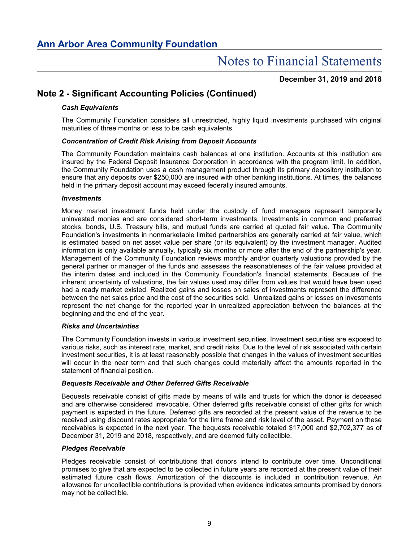**December 31, 2019 and 2018**

## **Note 2 - Significant Accounting Policies (Continued)**

#### *Cash Equivalents*

The Community Foundation considers all unrestricted, highly liquid investments purchased with original maturities of three months or less to be cash equivalents.

#### *Concentration of Credit Risk Arising from Deposit Accounts*

The Community Foundation maintains cash balances at one institution. Accounts at this institution are insured by the Federal Deposit Insurance Corporation in accordance with the program limit. In addition, the Community Foundation uses a cash management product through its primary depository institution to ensure that any deposits over \$250,000 are insured with other banking institutions. At times, the balances held in the primary deposit account may exceed federally insured amounts.

#### *Investments*

Money market investment funds held under the custody of fund managers represent temporarily uninvested monies and are considered short-term investments. Investments in common and preferred stocks, bonds, U.S. Treasury bills, and mutual funds are carried at quoted fair value. The Community Foundation's investments in nonmarketable limited partnerships are generally carried at fair value, which is estimated based on net asset value per share (or its equivalent) by the investment manager. Audited information is only available annually, typically six months or more after the end of the partnership's year. Management of the Community Foundation reviews monthly and/or quarterly valuations provided by the general partner or manager of the funds and assesses the reasonableness of the fair values provided at the interim dates and included in the Community Foundation's financial statements. Because of the inherent uncertainty of valuations, the fair values used may differ from values that would have been used had a ready market existed. Realized gains and losses on sales of investments represent the difference between the net sales price and the cost of the securities sold. Unrealized gains or losses on investments represent the net change for the reported year in unrealized appreciation between the balances at the beginning and the end of the year.

#### *Risks and Uncertainties*

The Community Foundation invests in various investment securities. Investment securities are exposed to various risks, such as interest rate, market, and credit risks. Due to the level of risk associated with certain investment securities, it is at least reasonably possible that changes in the values of investment securities will occur in the near term and that such changes could materially affect the amounts reported in the statement of financial position.

#### *Bequests Receivable and Other Deferred Gifts Receivable*

Bequests receivable consist of gifts made by means of wills and trusts for which the donor is deceased and are otherwise considered irrevocable. Other deferred gifts receivable consist of other gifts for which payment is expected in the future. Deferred gifts are recorded at the present value of the revenue to be received using discount rates appropriate for the time frame and risk level of the asset. Payment on these receivables is expected in the next year. The bequests receivable totaled \$17,000 and \$2,702,377 as of December 31, 2019 and 2018, respectively, and are deemed fully collectible.

#### *Pledges Receivable*

Pledges receivable consist of contributions that donors intend to contribute over time. Unconditional promises to give that are expected to be collected in future years are recorded at the present value of their estimated future cash flows. Amortization of the discounts is included in contribution revenue. An allowance for uncollectible contributions is provided when evidence indicates amounts promised by donors may not be collectible.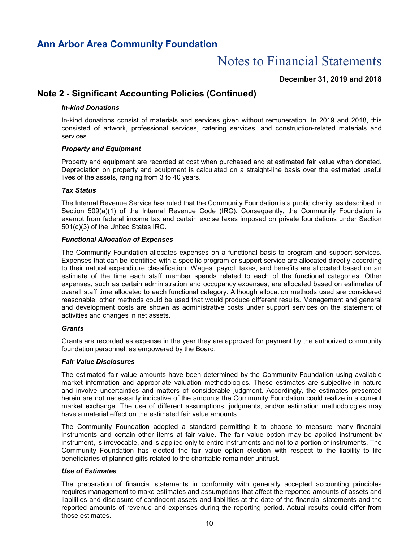**December 31, 2019 and 2018**

### **Note 2 - Significant Accounting Policies (Continued)**

#### *In-kind Donations*

In-kind donations consist of materials and services given without remuneration. In 2019 and 2018, this consisted of artwork, professional services, catering services, and construction-related materials and services.

#### *Property and Equipment*

Property and equipment are recorded at cost when purchased and at estimated fair value when donated. Depreciation on property and equipment is calculated on a straight-line basis over the estimated useful lives of the assets, ranging from 3 to 40 years.

#### *Tax Status*

The Internal Revenue Service has ruled that the Community Foundation is a public charity, as described in Section 509(a)(1) of the Internal Revenue Code (IRC). Consequently, the Community Foundation is exempt from federal income tax and certain excise taxes imposed on private foundations under Section 501(c)(3) of the United States IRC.

#### *Functional Allocation of Expenses*

The Community Foundation allocates expenses on a functional basis to program and support services. Expenses that can be identified with a specific program or support service are allocated directly according to their natural expenditure classification. Wages, payroll taxes, and benefits are allocated based on an estimate of the time each staff member spends related to each of the functional categories. Other expenses, such as certain administration and occupancy expenses, are allocated based on estimates of overall staff time allocated to each functional category. Although allocation methods used are considered reasonable, other methods could be used that would produce different results. Management and general and development costs are shown as administrative costs under support services on the statement of activities and changes in net assets.

#### *Grants*

Grants are recorded as expense in the year they are approved for payment by the authorized community foundation personnel, as empowered by the Board.

#### *Fair Value Disclosures*

The estimated fair value amounts have been determined by the Community Foundation using available market information and appropriate valuation methodologies. These estimates are subjective in nature and involve uncertainties and matters of considerable judgment. Accordingly, the estimates presented herein are not necessarily indicative of the amounts the Community Foundation could realize in a current market exchange. The use of different assumptions, judgments, and/or estimation methodologies may have a material effect on the estimated fair value amounts.

The Community Foundation adopted a standard permitting it to choose to measure many financial instruments and certain other items at fair value. The fair value option may be applied instrument by instrument, is irrevocable, and is applied only to entire instruments and not to a portion of instruments. The Community Foundation has elected the fair value option election with respect to the liability to life beneficiaries of planned gifts related to the charitable remainder unitrust.

#### *Use of Estimates*

The preparation of financial statements in conformity with generally accepted accounting principles requires management to make estimates and assumptions that affect the reported amounts of assets and liabilities and disclosure of contingent assets and liabilities at the date of the financial statements and the reported amounts of revenue and expenses during the reporting period. Actual results could differ from those estimates.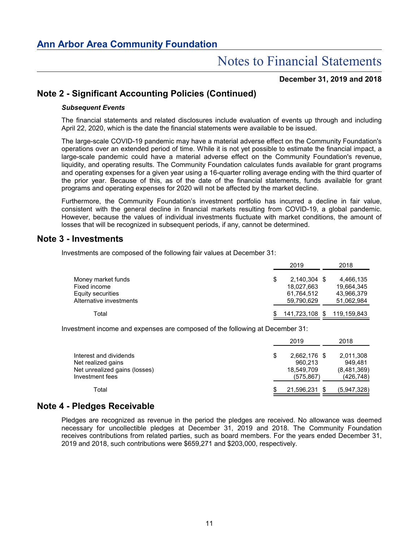#### **December 31, 2019 and 2018**

### **Note 2 - Significant Accounting Policies (Continued)**

#### *Subsequent Events*

The financial statements and related disclosures include evaluation of events up through and including April 22, 2020, which is the date the financial statements were available to be issued.

The large-scale COVID-19 pandemic may have a material adverse effect on the Community Foundation's operations over an extended period of time. While it is not yet possible to estimate the financial impact, a large-scale pandemic could have a material adverse effect on the Community Foundation's revenue, liquidity, and operating results. The Community Foundation calculates funds available for grant programs and operating expenses for a given year using a 16-quarter rolling average ending with the third quarter of the prior year. Because of this, as of the date of the financial statements, funds available for grant programs and operating expenses for 2020 will not be affected by the market decline.

Furthermore, the Community Foundation's investment portfolio has incurred a decline in fair value, consistent with the general decline in financial markets resulting from COVID-19, a global pandemic. However, because the values of individual investments fluctuate with market conditions, the amount of losses that will be recognized in subsequent periods, if any, cannot be determined.

### **Note 3 - Investments**

Investments are composed of the following fair values at December 31:

|                                                                                    | 2019                                                   | 2018                                                |
|------------------------------------------------------------------------------------|--------------------------------------------------------|-----------------------------------------------------|
| Money market funds<br>Fixed income<br>Equity securities<br>Alternative investments | 2,140,304 \$<br>18,027,663<br>61.764.512<br>59,790,629 | 4,466,135<br>19,664,345<br>43.966.379<br>51,062,984 |
| Total                                                                              | 141,723,108 \$                                         | 119.159.843                                         |

Investment income and expenses are composed of the following at December 31:

|                               |   | 2019          | 2018        |
|-------------------------------|---|---------------|-------------|
| Interest and dividends        | S | 2,662,176 \$  | 2,011,308   |
| Net realized gains            |   | 960,213       | 949.481     |
| Net unrealized gains (losses) |   | 18,549,709    | (8,481,369) |
| Investment fees               |   | (575,867)     | (426, 748)  |
| Total                         |   | 21,596,231 \$ | (5,947,328) |
|                               |   |               |             |

### **Note 4 - Pledges Receivable**

Pledges are recognized as revenue in the period the pledges are received. No allowance was deemed necessary for uncollectible pledges at December 31, 2019 and 2018. The Community Foundation receives contributions from related parties, such as board members. For the years ended December 31, 2019 and 2018, such contributions were \$659,271 and \$203,000, respectively.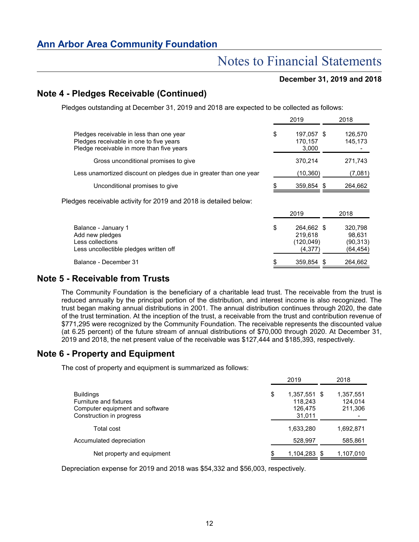## Notes to Financial Statements

#### **December 31, 2019 and 2018**

### **Note 4 - Pledges Receivable (Continued)**

Pledges outstanding at December 31, 2019 and 2018 are expected to be collected as follows:

|                                                                                                                                  | 2019                                                 | 2018                                       |
|----------------------------------------------------------------------------------------------------------------------------------|------------------------------------------------------|--------------------------------------------|
| Pledges receivable in less than one year<br>Pledges receivable in one to five years<br>Pledge receivable in more than five years | \$<br>197,057 \$<br>170,157<br>3,000                 | 126,570<br>145,173                         |
| Gross unconditional promises to give                                                                                             | 370,214                                              | 271,743                                    |
| Less unamortized discount on pledges due in greater than one year                                                                | (10,360)                                             | (7,081)                                    |
| Unconditional promises to give                                                                                                   | 359,854 \$                                           | 264,662                                    |
| Pledges receivable activity for 2019 and 2018 is detailed below:                                                                 |                                                      |                                            |
|                                                                                                                                  | 2019                                                 | 2018                                       |
| Balance - January 1<br>Add new pledges<br>Less collections<br>Less uncollectible pledges written off                             | \$<br>264,662 \$<br>219.618<br>(120,049)<br>(4, 377) | 320,798<br>98,631<br>(90, 313)<br>(64,454) |
| Balance - December 31                                                                                                            | \$<br>359,854 \$                                     | 264,662                                    |

### **Note 5 - Receivable from Trusts**

The Community Foundation is the beneficiary of a charitable lead trust. The receivable from the trust is reduced annually by the principal portion of the distribution, and interest income is also recognized. The trust began making annual distributions in 2001. The annual distribution continues through 2020, the date of the trust termination. At the inception of the trust, a receivable from the trust and contribution revenue of \$771,295 were recognized by the Community Foundation. The receivable represents the discounted value (at 6.25 percent) of the future stream of annual distributions of \$70,000 through 2020. At December 31, 2019 and 2018, the net present value of the receivable was \$127,444 and \$185,393, respectively.

### **Note 6 - Property and Equipment**

The cost of property and equipment is summarized as follows:

|                                                                                                           | 2019                                               | 2018                            |
|-----------------------------------------------------------------------------------------------------------|----------------------------------------------------|---------------------------------|
| <b>Buildings</b><br>Furniture and fixtures<br>Computer equipment and software<br>Construction in progress | \$<br>1,357,551 \$<br>118.243<br>126,475<br>31,011 | 1,357,551<br>124.014<br>211,306 |
| Total cost                                                                                                | 1,633,280                                          | 1,692,871                       |
| Accumulated depreciation                                                                                  | 528,997                                            | 585,861                         |
| Net property and equipment                                                                                | \$<br>1,104,283 \$                                 | 1,107,010                       |

Depreciation expense for 2019 and 2018 was \$54,332 and \$56,003, respectively.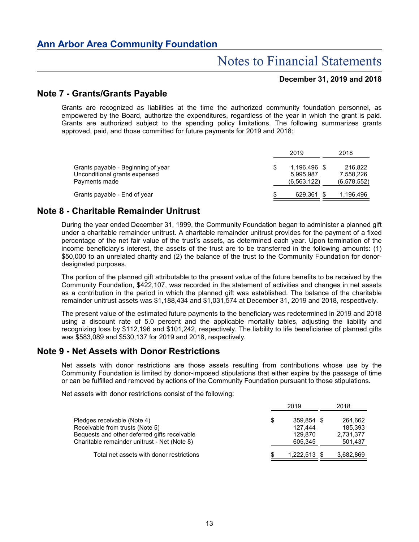#### **December 31, 2019 and 2018**

### **Note 7 - Grants/Grants Payable**

Grants are recognized as liabilities at the time the authorized community foundation personnel, as empowered by the Board, authorize the expenditures, regardless of the year in which the grant is paid. Grants are authorized subject to the spending policy limitations. The following summarizes grants approved, paid, and those committed for future payments for 2019 and 2018:

|                                                                                      | 2019                                       | 2018                                |
|--------------------------------------------------------------------------------------|--------------------------------------------|-------------------------------------|
| Grants payable - Beginning of year<br>Unconditional grants expensed<br>Payments made | 1,196,496 \$<br>5.995.987<br>(6, 563, 122) | 216.822<br>7,558,226<br>(6,578,552) |
| Grants payable - End of year                                                         | 629.361                                    | 1,196,496                           |

### **Note 8 - Charitable Remainder Unitrust**

During the year ended December 31, 1999, the Community Foundation began to administer a planned gift under a charitable remainder unitrust. A charitable remainder unitrust provides for the payment of a fixed percentage of the net fair value of the trust's assets, as determined each year. Upon termination of the income beneficiary's interest, the assets of the trust are to be transferred in the following amounts: (1) \$50,000 to an unrelated charity and (2) the balance of the trust to the Community Foundation for donordesignated purposes.

The portion of the planned gift attributable to the present value of the future benefits to be received by the Community Foundation, \$422,107, was recorded in the statement of activities and changes in net assets as a contribution in the period in which the planned gift was established. The balance of the charitable remainder unitrust assets was \$1,188,434 and \$1,031,574 at December 31, 2019 and 2018, respectively.

The present value of the estimated future payments to the beneficiary was redetermined in 2019 and 2018 using a discount rate of 5.0 percent and the applicable mortality tables, adjusting the liability and recognizing loss by \$112,196 and \$101,242, respectively. The liability to life beneficiaries of planned gifts was \$583,089 and \$530,137 for 2019 and 2018, respectively.

### **Note 9 - Net Assets with Donor Restrictions**

Net assets with donor restrictions are those assets resulting from contributions whose use by the Community Foundation is limited by donor-imposed stipulations that either expire by the passage of time or can be fulfilled and removed by actions of the Community Foundation pursuant to those stipulations.

Net assets with donor restrictions consist of the following:

|                                              |    | 2019           | 2018      |
|----------------------------------------------|----|----------------|-----------|
| Pledges receivable (Note 4)                  | \$ | 359.854 \$     | 264.662   |
| Receivable from trusts (Note 5)              |    | 127.444        | 185,393   |
| Bequests and other deferred gifts receivable |    | 129.870        | 2,731,377 |
| Charitable remainder unitrust - Net (Note 8) |    | 605.345        | 501,437   |
| Total net assets with donor restrictions     | S  | $1,222,513$ \$ | 3,682,869 |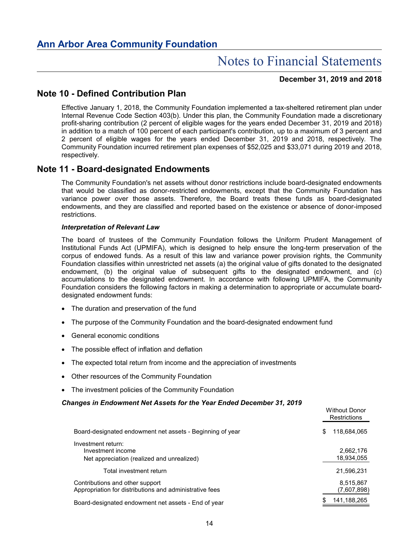#### **December 31, 2019 and 2018**

### **Note 10 - Defined Contribution Plan**

Effective January 1, 2018, the Community Foundation implemented a tax-sheltered retirement plan under Internal Revenue Code Section 403(b). Under this plan, the Community Foundation made a discretionary profit-sharing contribution (2 percent of eligible wages for the years ended December 31, 2019 and 2018) in addition to a match of 100 percent of each participant's contribution, up to a maximum of 3 percent and 2 percent of eligible wages for the years ended December 31, 2019 and 2018, respectively. The Community Foundation incurred retirement plan expenses of \$52,025 and \$33,071 during 2019 and 2018, respectively.

### **Note 11 - Board-designated Endowments**

The Community Foundation's net assets without donor restrictions include board-designated endowments that would be classified as donor-restricted endowments, except that the Community Foundation has variance power over those assets. Therefore, the Board treats these funds as board-designated endowments, and they are classified and reported based on the existence or absence of donor-imposed restrictions.

#### *Interpretation of Relevant Law*

The board of trustees of the Community Foundation follows the Uniform Prudent Management of Institutional Funds Act (UPMIFA), which is designed to help ensure the long-term preservation of the corpus of endowed funds. As a result of this law and variance power provision rights, the Community Foundation classifies within unrestricted net assets (a) the original value of gifts donated to the designated endowment, (b) the original value of subsequent gifts to the designated endowment, and (c) accumulations to the designated endowment. In accordance with following UPMIFA, the Community Foundation considers the following factors in making a determination to appropriate or accumulate boarddesignated endowment funds:

- The duration and preservation of the fund
- The purpose of the Community Foundation and the board-designated endowment fund
- General economic conditions
- The possible effect of inflation and deflation
- The expected total return from income and the appreciation of investments
- Other resources of the Community Foundation
- The investment policies of the Community Foundation

#### *Changes in Endowment Net Assets for the Year Ended December 31, 2019*

|                                                                                            | <b>Without Donor</b><br><b>Restrictions</b> |
|--------------------------------------------------------------------------------------------|---------------------------------------------|
| Board-designated endowment net assets - Beginning of year                                  | 118,684,065<br>S                            |
| Investment return:<br>Investment income<br>Net appreciation (realized and unrealized)      | 2,662,176<br>18,934,055                     |
| Total investment return                                                                    | 21,596,231                                  |
| Contributions and other support<br>Appropriation for distributions and administrative fees | 8,515,867<br>(7,607,898)                    |
| Board-designated endowment net assets - End of year                                        | 141,188,265                                 |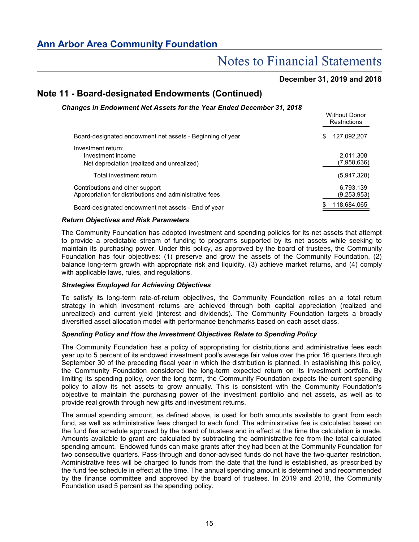#### **December 31, 2019 and 2018**

 $\mathbf{v}$  and  $\mathbf{v}$  and  $\mathbf{v}$ 

## **Note 11 - Board-designated Endowments (Continued)**

*Changes in Endowment Net Assets for the Year Ended December 31, 2018*

|                                                                                            | <u>VVILNOUL DONOI</u><br>Restrictions |
|--------------------------------------------------------------------------------------------|---------------------------------------|
| Board-designated endowment net assets - Beginning of year                                  | 127,092,207<br>S                      |
| Investment return:<br>Investment income<br>Net depreciation (realized and unrealized)      | 2,011,308<br>(7,958,636)              |
| Total investment return                                                                    | (5,947,328)                           |
| Contributions and other support<br>Appropriation for distributions and administrative fees | 6,793,139<br>(9,253,953)              |
| Board-designated endowment net assets - End of year                                        | 118,684,065                           |

#### *Return Objectives and Risk Parameters*

The Community Foundation has adopted investment and spending policies for its net assets that attempt to provide a predictable stream of funding to programs supported by its net assets while seeking to maintain its purchasing power. Under this policy, as approved by the board of trustees, the Community Foundation has four objectives: (1) preserve and grow the assets of the Community Foundation, (2) balance long-term growth with appropriate risk and liquidity, (3) achieve market returns, and (4) comply with applicable laws, rules, and regulations.

#### *Strategies Employed for Achieving Objectives*

To satisfy its long-term rate-of-return objectives, the Community Foundation relies on a total return strategy in which investment returns are achieved through both capital appreciation (realized and unrealized) and current yield (interest and dividends). The Community Foundation targets a broadly diversified asset allocation model with performance benchmarks based on each asset class.

#### *Spending Policy and How the Investment Objectives Relate to Spending Policy*

The Community Foundation has a policy of appropriating for distributions and administrative fees each year up to 5 percent of its endowed investment pool's average fair value over the prior 16 quarters through September 30 of the preceding fiscal year in which the distribution is planned. In establishing this policy, the Community Foundation considered the long-term expected return on its investment portfolio. By limiting its spending policy, over the long term, the Community Foundation expects the current spending policy to allow its net assets to grow annually. This is consistent with the Community Foundation's objective to maintain the purchasing power of the investment portfolio and net assets, as well as to provide real growth through new gifts and investment returns.

The annual spending amount, as defined above, is used for both amounts available to grant from each fund, as well as administrative fees charged to each fund. The administrative fee is calculated based on the fund fee schedule approved by the board of trustees and in effect at the time the calculation is made. Amounts available to grant are calculated by subtracting the administrative fee from the total calculated spending amount. Endowed funds can make grants after they had been at the Community Foundation for two consecutive quarters. Pass-through and donor-advised funds do not have the two-quarter restriction. Administrative fees will be charged to funds from the date that the fund is established, as prescribed by the fund fee schedule in effect at the time. The annual spending amount is determined and recommended by the finance committee and approved by the board of trustees. In 2019 and 2018, the Community Foundation used 5 percent as the spending policy.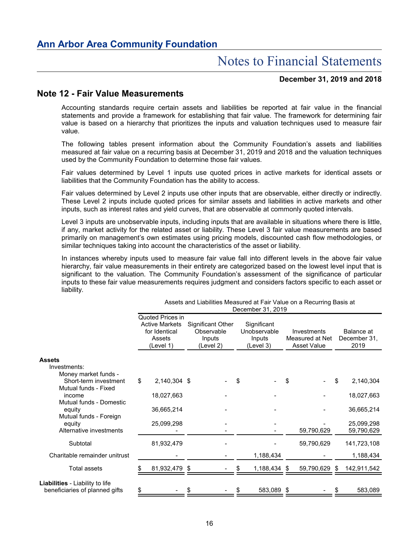#### **December 31, 2019 and 2018**

#### **Note 12 - Fair Value Measurements**

Accounting standards require certain assets and liabilities be reported at fair value in the financial statements and provide a framework for establishing that fair value. The framework for determining fair value is based on a hierarchy that prioritizes the inputs and valuation techniques used to measure fair value.

The following tables present information about the Community Foundation's assets and liabilities measured at fair value on a recurring basis at December 31, 2019 and 2018 and the valuation techniques used by the Community Foundation to determine those fair values.

Fair values determined by Level 1 inputs use quoted prices in active markets for identical assets or liabilities that the Community Foundation has the ability to access.

Fair values determined by Level 2 inputs use other inputs that are observable, either directly or indirectly. These Level 2 inputs include quoted prices for similar assets and liabilities in active markets and other inputs, such as interest rates and yield curves, that are observable at commonly quoted intervals.

Level 3 inputs are unobservable inputs, including inputs that are available in situations where there is little, if any, market activity for the related asset or liability. These Level 3 fair value measurements are based primarily on management's own estimates using pricing models, discounted cash flow methodologies, or similar techniques taking into account the characteristics of the asset or liability.

In instances whereby inputs used to measure fair value fall into different levels in the above fair value hierarchy, fair value measurements in their entirety are categorized based on the lowest level input that is significant to the valuation. The Community Foundation's assessment of the significance of particular inputs to these fair value measurements requires judgment and considers factors specific to each asset or liability.

|                                                                          | Assets and Liabilities Measured at Fair Value on a Recurring Basis at<br>December 31, 2019 |                                                                                   |  |                                                               |    |                                                    |    |                                                      |    |                                    |  |
|--------------------------------------------------------------------------|--------------------------------------------------------------------------------------------|-----------------------------------------------------------------------------------|--|---------------------------------------------------------------|----|----------------------------------------------------|----|------------------------------------------------------|----|------------------------------------|--|
|                                                                          |                                                                                            | Quoted Prices in<br><b>Active Markets</b><br>for Identical<br>Assets<br>(Level 1) |  | <b>Significant Other</b><br>Observable<br>Inputs<br>(Level 2) |    | Significant<br>Unobservable<br>Inputs<br>(Level 3) |    | Investments<br>Measured at Net<br><b>Asset Value</b> |    | Balance at<br>December 31.<br>2019 |  |
| <b>Assets</b><br>Investments:                                            |                                                                                            |                                                                                   |  |                                                               |    |                                                    |    |                                                      |    |                                    |  |
| Money market funds -<br>Short-term investment<br>Mutual funds - Fixed    | \$                                                                                         | 2,140,304 \$                                                                      |  |                                                               | \$ |                                                    | \$ |                                                      |    | 2,140,304                          |  |
| income<br>Mutual funds - Domestic                                        |                                                                                            | 18,027,663                                                                        |  |                                                               |    |                                                    |    |                                                      |    | 18,027,663                         |  |
| equity                                                                   |                                                                                            | 36,665,214                                                                        |  |                                                               |    |                                                    |    |                                                      |    | 36,665,214                         |  |
| Mutual funds - Foreign<br>equity<br>Alternative investments              |                                                                                            | 25,099,298                                                                        |  |                                                               |    |                                                    |    | 59,790,629                                           |    | 25,099,298<br>59,790,629           |  |
| Subtotal                                                                 |                                                                                            | 81,932,479                                                                        |  |                                                               |    |                                                    |    | 59,790,629                                           |    | 141,723,108                        |  |
| Charitable remainder unitrust                                            |                                                                                            |                                                                                   |  |                                                               |    | 1,188,434                                          |    |                                                      |    | 1,188,434                          |  |
| <b>Total assets</b>                                                      |                                                                                            | 81,932,479 \$                                                                     |  |                                                               |    | 1,188,434 \$                                       |    | 59,790,629                                           | \$ | 142,911,542                        |  |
| <b>Liabilities</b> - Liability to life<br>beneficiaries of planned gifts | \$                                                                                         |                                                                                   |  |                                                               | \$ | 583,089 \$                                         |    |                                                      |    | 583,089                            |  |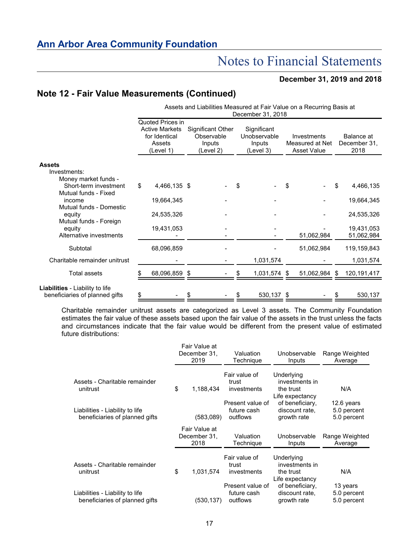### **December 31, 2019 and 2018**

## **Note 12 - Fair Value Measurements (Continued)**

|                                                                          | Assets and Liabilities Measured at Fair Value on a Recurring Basis at<br>December 31, 2018 |                                                                                   |    |                                                               |    |                                                    |    |                                                      |     |                                    |  |
|--------------------------------------------------------------------------|--------------------------------------------------------------------------------------------|-----------------------------------------------------------------------------------|----|---------------------------------------------------------------|----|----------------------------------------------------|----|------------------------------------------------------|-----|------------------------------------|--|
|                                                                          |                                                                                            | Quoted Prices in<br><b>Active Markets</b><br>for Identical<br>Assets<br>(Level 1) |    | <b>Significant Other</b><br>Observable<br>Inputs<br>(Level 2) |    | Significant<br>Unobservable<br>Inputs<br>(Level 3) |    | Investments<br>Measured at Net<br><b>Asset Value</b> |     | Balance at<br>December 31,<br>2018 |  |
| Assets<br>Investments:                                                   |                                                                                            |                                                                                   |    |                                                               |    |                                                    |    |                                                      |     |                                    |  |
| Money market funds -                                                     |                                                                                            |                                                                                   |    |                                                               |    |                                                    |    |                                                      |     |                                    |  |
| Short-term investment                                                    | \$                                                                                         | 4,466,135 \$                                                                      |    |                                                               | \$ |                                                    | \$ |                                                      | \$  | 4,466,135                          |  |
| Mutual funds - Fixed<br>income<br>Mutual funds - Domestic                |                                                                                            | 19,664,345                                                                        |    |                                                               |    |                                                    |    |                                                      |     | 19,664,345                         |  |
| equity<br>Mutual funds - Foreign                                         |                                                                                            | 24,535,326                                                                        |    |                                                               |    |                                                    |    |                                                      |     | 24,535,326                         |  |
| equity<br>Alternative investments                                        |                                                                                            | 19,431,053                                                                        |    |                                                               |    |                                                    |    | 51,062,984                                           |     | 19,431,053<br>51,062,984           |  |
| Subtotal                                                                 |                                                                                            | 68,096,859                                                                        |    |                                                               |    |                                                    |    | 51,062,984                                           |     | 119,159,843                        |  |
| Charitable remainder unitrust                                            |                                                                                            |                                                                                   |    |                                                               |    | 1,031,574                                          |    |                                                      |     | 1,031,574                          |  |
| Total assets                                                             |                                                                                            | 68,096,859 \$                                                                     |    |                                                               |    | 1,031,574                                          | S  | 51,062,984                                           | -\$ | 120, 191, 417                      |  |
| <b>Liabilities</b> - Liability to life<br>beneficiaries of planned gifts | \$                                                                                         |                                                                                   | \$ |                                                               | \$ | 530,137 \$                                         |    |                                                      | \$  | 530,137                            |  |

Charitable remainder unitrust assets are categorized as Level 3 assets. The Community Foundation estimates the fair value of these assets based upon the fair value of the assets in the trust unless the facts and circumstances indicate that the fair value would be different from the present value of estimated future distributions:

|                                                                                                                | Fair Value at<br>December 31,<br>2019 | Valuation<br>Technique                                                               | Unobservable<br>Inputs                                                                                           | Range Weighted<br>Average                       |
|----------------------------------------------------------------------------------------------------------------|---------------------------------------|--------------------------------------------------------------------------------------|------------------------------------------------------------------------------------------------------------------|-------------------------------------------------|
| Assets - Charitable remainder<br>unitrust<br>Liabilities - Liability to life<br>beneficiaries of planned gifts | \$<br>1,188,434<br>(583,089)          | Fair value of<br>trust<br>investments<br>Present value of<br>future cash<br>outflows | Underlying<br>investments in<br>the trust<br>Life expectancy<br>of beneficiary,<br>discount rate,<br>growth rate | N/A<br>12.6 years<br>5.0 percent<br>5.0 percent |
|                                                                                                                | Fair Value at<br>December 31,<br>2018 | Valuation<br>Technique                                                               | Unobservable<br>Inputs                                                                                           | Range Weighted<br>Average                       |
| Assets - Charitable remainder<br>unitrust                                                                      | \$<br>1,031,574                       | Fair value of<br>trust<br>investments                                                | Underlying<br>investments in<br>the trust<br>Life expectancy                                                     | N/A                                             |
| Liabilities - Liability to life<br>beneficiaries of planned gifts                                              | (530,137)                             | Present value of<br>future cash<br>outflows                                          | of beneficiary,<br>discount rate,<br>growth rate                                                                 | 13 years<br>5.0 percent<br>5.0 percent          |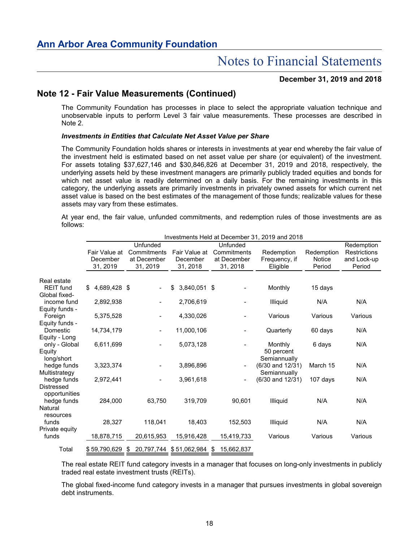#### **December 31, 2019 and 2018**

### **Note 12 - Fair Value Measurements (Continued)**

The Community Foundation has processes in place to select the appropriate valuation technique and unobservable inputs to perform Level 3 fair value measurements. These processes are described in Note 2.

#### *Investments in Entities that Calculate Net Asset Value per Share*

The Community Foundation holds shares or interests in investments at year end whereby the fair value of the investment held is estimated based on net asset value per share (or equivalent) of the investment. For assets totaling \$37,627,146 and \$30,846,826 at December 31, 2019 and 2018, respectively, the underlying assets held by these investment managers are primarily publicly traded equities and bonds for which net asset value is readily determined on a daily basis. For the remaining investments in this category, the underlying assets are primarily investments in privately owned assets for which current net asset value is based on the best estimates of the management of those funds; realizable values for these assets may vary from these estimates.

At year end, the fair value, unfunded commitments, and redemption rules of those investments are as follows:

|                         | Investments Held at December 31, 2019 and 2018 |             |                         |    |             |                       |            |              |  |  |  |
|-------------------------|------------------------------------------------|-------------|-------------------------|----|-------------|-----------------------|------------|--------------|--|--|--|
|                         |                                                |             | Redemption              |    |             |                       |            |              |  |  |  |
|                         | Fair Value at                                  | Commitments | Fair Value at           |    | Commitments | Redemption            | Redemption | Restrictions |  |  |  |
|                         | December                                       | at December | December                |    | at December | Frequency, if         | Notice     | and Lock-up  |  |  |  |
|                         | 31, 2019                                       | 31, 2019    | 31, 2018                |    | 31, 2018    | Eligible              | Period     | Period       |  |  |  |
| Real estate             |                                                |             |                         |    |             |                       |            |              |  |  |  |
| <b>REIT</b> fund        | 4,689,428 \$<br>\$                             |             | 3,840,051 \$<br>\$      |    |             | Monthly               | 15 days    |              |  |  |  |
| Global fixed-           |                                                |             |                         |    |             |                       |            |              |  |  |  |
| income fund             | 2,892,938                                      |             | 2,706,619               |    |             | Illiquid              | N/A        | N/A          |  |  |  |
| Equity funds -          |                                                |             |                         |    |             |                       |            |              |  |  |  |
| Foreign                 | 5,375,528                                      |             | 4,330,026               |    |             | Various               | Various    | Various      |  |  |  |
| Equity funds -          |                                                |             |                         |    |             |                       |            |              |  |  |  |
| Domestic                | 14,734,179                                     |             | 11,000,106              |    |             | Quarterly             | 60 days    | N/A          |  |  |  |
| Equity - Long           |                                                |             |                         |    |             |                       |            | N/A          |  |  |  |
| only - Global<br>Equity | 6,611,699                                      |             | 5,073,128               |    |             | Monthly<br>50 percent | 6 days     |              |  |  |  |
| long/short              |                                                |             |                         |    |             | Semiannually          |            |              |  |  |  |
| hedge funds             | 3,323,374                                      |             | 3,896,896               |    |             | $(6/30$ and $12/31)$  | March 15   | N/A          |  |  |  |
| Multistrategy           |                                                |             |                         |    |             | Semiannually          |            |              |  |  |  |
| hedge funds             | 2,972,441                                      |             | 3,961,618               |    |             | (6/30 and 12/31)      | 107 days   | N/A          |  |  |  |
| Distressed              |                                                |             |                         |    |             |                       |            |              |  |  |  |
| opportunities           |                                                |             |                         |    |             |                       |            |              |  |  |  |
| hedge funds             | 284,000                                        | 63,750      | 319,709                 |    | 90,601      | <b>Illiquid</b>       | N/A        | N/A          |  |  |  |
| Natural                 |                                                |             |                         |    |             |                       |            |              |  |  |  |
| resources               |                                                |             |                         |    |             |                       |            |              |  |  |  |
| funds                   | 28,327                                         | 118,041     | 18,403                  |    | 152,503     | <b>Illiquid</b>       | N/A        | N/A          |  |  |  |
| Private equity<br>funds | 18,878,715                                     | 20,615,953  | 15,916,428              |    | 15,419,733  | Various               | Various    | Various      |  |  |  |
|                         |                                                |             |                         |    |             |                       |            |              |  |  |  |
| Total                   | $$59,790,629$ \$                               |             | 20,797,744 \$51,062,984 | \$ | 15,662,837  |                       |            |              |  |  |  |

The real estate REIT fund category invests in a manager that focuses on long-only investments in publicly traded real estate investment trusts (REITs).

The global fixed-income fund category invests in a manager that pursues investments in global sovereign debt instruments.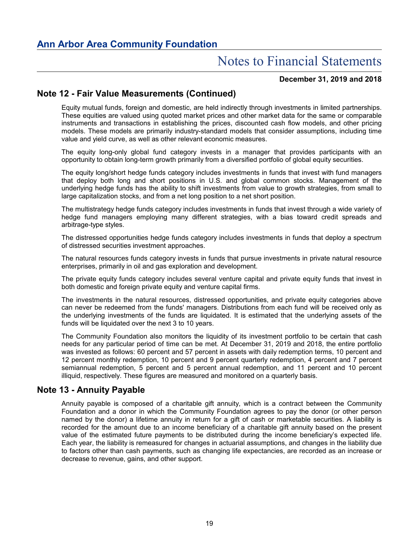#### **December 31, 2019 and 2018**

### **Note 12 - Fair Value Measurements (Continued)**

Equity mutual funds, foreign and domestic, are held indirectly through investments in limited partnerships. These equities are valued using quoted market prices and other market data for the same or comparable instruments and transactions in establishing the prices, discounted cash flow models, and other pricing models. These models are primarily industry-standard models that consider assumptions, including time value and yield curve, as well as other relevant economic measures.

The equity long-only global fund category invests in a manager that provides participants with an opportunity to obtain long-term growth primarily from a diversified portfolio of global equity securities.

The equity long/short hedge funds category includes investments in funds that invest with fund managers that deploy both long and short positions in U.S. and global common stocks. Management of the underlying hedge funds has the ability to shift investments from value to growth strategies, from small to large capitalization stocks, and from a net long position to a net short position.

The multistrategy hedge funds category includes investments in funds that invest through a wide variety of hedge fund managers employing many different strategies, with a bias toward credit spreads and arbitrage-type styles.

The distressed opportunities hedge funds category includes investments in funds that deploy a spectrum of distressed securities investment approaches.

The natural resources funds category invests in funds that pursue investments in private natural resource enterprises, primarily in oil and gas exploration and development.

The private equity funds category includes several venture capital and private equity funds that invest in both domestic and foreign private equity and venture capital firms.

The investments in the natural resources, distressed opportunities, and private equity categories above can never be redeemed from the funds' managers. Distributions from each fund will be received only as the underlying investments of the funds are liquidated. It is estimated that the underlying assets of the funds will be liquidated over the next 3 to 10 years.

The Community Foundation also monitors the liquidity of its investment portfolio to be certain that cash needs for any particular period of time can be met. At December 31, 2019 and 2018, the entire portfolio was invested as follows: 60 percent and 57 percent in assets with daily redemption terms, 10 percent and 12 percent monthly redemption, 10 percent and 9 percent quarterly redemption, 4 percent and 7 percent semiannual redemption, 5 percent and 5 percent annual redemption, and 11 percent and 10 percent illiquid, respectively. These figures are measured and monitored on a quarterly basis.

### **Note 13 - Annuity Payable**

Annuity payable is composed of a charitable gift annuity, which is a contract between the Community Foundation and a donor in which the Community Foundation agrees to pay the donor (or other person named by the donor) a lifetime annuity in return for a gift of cash or marketable securities. A liability is recorded for the amount due to an income beneficiary of a charitable gift annuity based on the present value of the estimated future payments to be distributed during the income beneficiary's expected life. Each year, the liability is remeasured for changes in actuarial assumptions, and changes in the liability due to factors other than cash payments, such as changing life expectancies, are recorded as an increase or decrease to revenue, gains, and other support.